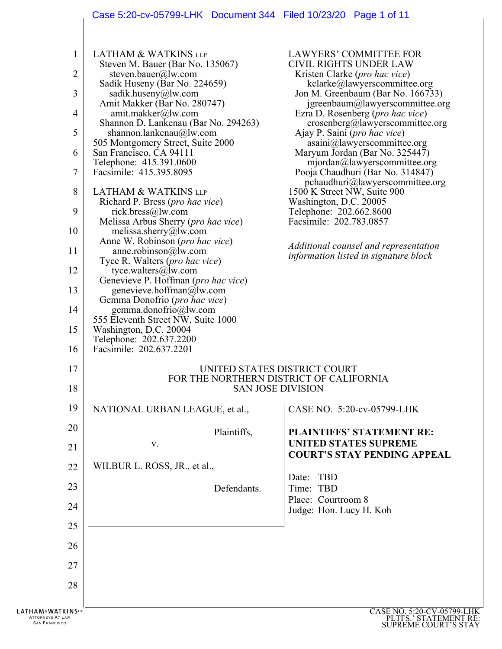## Case 5:20-cv-05799-LHK Document 344 Filed 10/23/20 Page 1 of 11

| 1<br>2<br>3<br>$\overline{4}$<br>5<br>6<br>7<br>8<br>9<br>10<br>11<br>12<br>13<br>14<br>15<br>16 | <b>LATHAM &amp; WATKINS LLP</b><br>Steven M. Bauer (Bar No. 135067)<br>steven.bauer@lw.com<br>Sadik Huseny (Bar No. 224659)<br>sadik.huseny@lw.com<br>Amit Makker (Bar No. 280747)<br>amit.makker@lw.com<br>Shannon D. Lankenau (Bar No. 294263)<br>shannon.lankenau $@$ lw.com<br>505 Montgomery Street, Suite 2000<br>San Francisco, CA 94111<br>Telephone: 415.391.0600<br>Facsimile: 415.395.8095<br><b>LATHAM &amp; WATKINS LLP</b><br>Richard P. Bress (pro hac vice)<br>rick.bress@lw.com<br>Melissa Arbus Sherry (pro hac vice)<br>melissa.sherry@lw.com<br>Anne W. Robinson (pro hac vice)<br>anne.robinson@lw.com<br>Tyce R. Walters ( <i>pro hac vice</i> )<br>tyce.walters@lw.com<br>Genevieve P. Hoffman (pro hac vice)<br>genevieve.hoffman@lw.com<br>Gemma Donofrio (pro hac vice)<br>gemma.donofrio@lw.com<br>555 Eleventh Street NW, Suite 1000<br>Washington, D.C. 20004<br>Telephone: 202.637.2200<br>Facsimile: 202.637.2201 | <b>LAWYERS' COMMITTEE FOR</b><br><b>CIVIL RIGHTS UNDER LAW</b><br>Kristen Clarke ( <i>pro hac vice</i> )<br>kclarke@lawyerscommittee.org<br>Jon M. Greenbaum (Bar No. 166733)<br>jgreenbaum@lawyerscommittee.org<br>Ezra D. Rosenberg (pro hac vice)<br>erosenberg@lawyerscommittee.org<br>Ajay P. Saini ( <i>pro hac vice</i> )<br>asaini@lawyerscommittee.org<br>Maryum Jordan (Bar No. 325447)<br>mjordan@lawyerscommittee.org<br>Pooja Chaudhuri (Bar No. 314847)<br>$p$ chaudhuri@lawyerscommittee.org<br>1500 K Street NW, Suite 900<br>Washington, D.C. 20005<br>Telephone: 202.662.8600<br>Facsimile: 202.783.0857<br>Additional counsel and representation<br><i>information listed in signature block</i> |
|--------------------------------------------------------------------------------------------------|--------------------------------------------------------------------------------------------------------------------------------------------------------------------------------------------------------------------------------------------------------------------------------------------------------------------------------------------------------------------------------------------------------------------------------------------------------------------------------------------------------------------------------------------------------------------------------------------------------------------------------------------------------------------------------------------------------------------------------------------------------------------------------------------------------------------------------------------------------------------------------------------------------------------------------------------------|---------------------------------------------------------------------------------------------------------------------------------------------------------------------------------------------------------------------------------------------------------------------------------------------------------------------------------------------------------------------------------------------------------------------------------------------------------------------------------------------------------------------------------------------------------------------------------------------------------------------------------------------------------------------------------------------------------------------|
| 17<br>18                                                                                         |                                                                                                                                                                                                                                                                                                                                                                                                                                                                                                                                                                                                                                                                                                                                                                                                                                                                                                                                                  | UNITED STATES DISTRICT COURT<br>FOR THE NORTHERN DISTRICT OF CALIFORNIA<br><b>SAN JOSE DIVISION</b>                                                                                                                                                                                                                                                                                                                                                                                                                                                                                                                                                                                                                 |
| 19                                                                                               | NATIONAL URBAN LEAGUE, et al.,                                                                                                                                                                                                                                                                                                                                                                                                                                                                                                                                                                                                                                                                                                                                                                                                                                                                                                                   | CASE NO. 5:20-cv-05799-LHK                                                                                                                                                                                                                                                                                                                                                                                                                                                                                                                                                                                                                                                                                          |
| 20                                                                                               | Plaintiffs,                                                                                                                                                                                                                                                                                                                                                                                                                                                                                                                                                                                                                                                                                                                                                                                                                                                                                                                                      | <b>PLAINTIFFS' STATEMENT RE:</b>                                                                                                                                                                                                                                                                                                                                                                                                                                                                                                                                                                                                                                                                                    |
| 21                                                                                               | V.                                                                                                                                                                                                                                                                                                                                                                                                                                                                                                                                                                                                                                                                                                                                                                                                                                                                                                                                               | <b>UNITED STATES SUPREME</b><br><b>COURT'S STAY PENDING APPEAL</b>                                                                                                                                                                                                                                                                                                                                                                                                                                                                                                                                                                                                                                                  |
| 22                                                                                               | WILBUR L. ROSS, JR., et al.,                                                                                                                                                                                                                                                                                                                                                                                                                                                                                                                                                                                                                                                                                                                                                                                                                                                                                                                     | Date: TBD                                                                                                                                                                                                                                                                                                                                                                                                                                                                                                                                                                                                                                                                                                           |
| 23                                                                                               | Defendants.                                                                                                                                                                                                                                                                                                                                                                                                                                                                                                                                                                                                                                                                                                                                                                                                                                                                                                                                      | Time: TBD                                                                                                                                                                                                                                                                                                                                                                                                                                                                                                                                                                                                                                                                                                           |
| 24                                                                                               |                                                                                                                                                                                                                                                                                                                                                                                                                                                                                                                                                                                                                                                                                                                                                                                                                                                                                                                                                  | Place: Courtroom 8<br>Judge: Hon. Lucy H. Koh                                                                                                                                                                                                                                                                                                                                                                                                                                                                                                                                                                                                                                                                       |
| 25                                                                                               |                                                                                                                                                                                                                                                                                                                                                                                                                                                                                                                                                                                                                                                                                                                                                                                                                                                                                                                                                  |                                                                                                                                                                                                                                                                                                                                                                                                                                                                                                                                                                                                                                                                                                                     |
| 26                                                                                               |                                                                                                                                                                                                                                                                                                                                                                                                                                                                                                                                                                                                                                                                                                                                                                                                                                                                                                                                                  |                                                                                                                                                                                                                                                                                                                                                                                                                                                                                                                                                                                                                                                                                                                     |
| 27                                                                                               |                                                                                                                                                                                                                                                                                                                                                                                                                                                                                                                                                                                                                                                                                                                                                                                                                                                                                                                                                  |                                                                                                                                                                                                                                                                                                                                                                                                                                                                                                                                                                                                                                                                                                                     |
| 28                                                                                               |                                                                                                                                                                                                                                                                                                                                                                                                                                                                                                                                                                                                                                                                                                                                                                                                                                                                                                                                                  |                                                                                                                                                                                                                                                                                                                                                                                                                                                                                                                                                                                                                                                                                                                     |
| <b>LATHAM&amp;WATKINS</b><br>ATTORNEYS AT LAW                                                    |                                                                                                                                                                                                                                                                                                                                                                                                                                                                                                                                                                                                                                                                                                                                                                                                                                                                                                                                                  | CASE NO. 5:20-CV-05799-LHK<br>PLTFS.' STATEMENT RE:                                                                                                                                                                                                                                                                                                                                                                                                                                                                                                                                                                                                                                                                 |
| <b>SAN FRANCISCO</b>                                                                             |                                                                                                                                                                                                                                                                                                                                                                                                                                                                                                                                                                                                                                                                                                                                                                                                                                                                                                                                                  | <b>SUPREME COURT'S STAY</b>                                                                                                                                                                                                                                                                                                                                                                                                                                                                                                                                                                                                                                                                                         |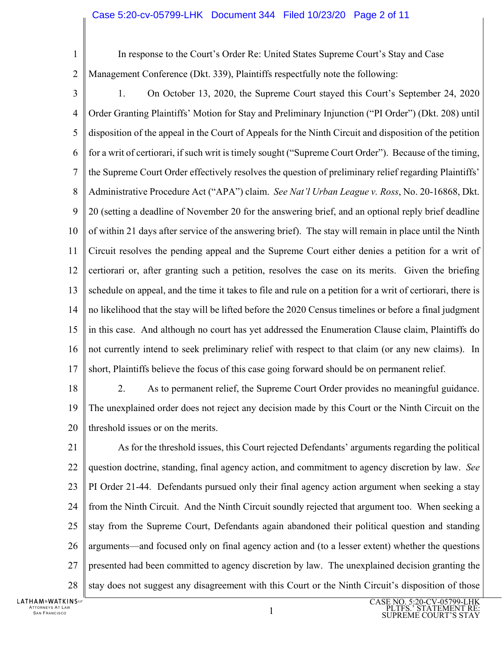## Case 5:20-cv-05799-LHK Document 344 Filed 10/23/20 Page 2 of 11

1

In response to the Court's Order Re: United States Supreme Court's Stay and Case

 $\overline{2}$ Management Conference (Dkt. 339), Plaintiffs respectfully note the following:

- 3 4 5 6 7 8 9 10 11 12 13 14 15 16 17 1. On October 13, 2020, the Supreme Court stayed this Court's September 24, 2020 Order Granting Plaintiffs' Motion for Stay and Preliminary Injunction ("PI Order") (Dkt. 208) until disposition of the appeal in the Court of Appeals for the Ninth Circuit and disposition of the petition for a writ of certiorari, if such writ is timely sought ("Supreme Court Order"). Because of the timing, the Supreme Court Order effectively resolves the question of preliminary relief regarding Plaintiffs' Administrative Procedure Act ("APA") claim. *See Nat'l Urban League v. Ross*, No. 20-16868, Dkt. 20 (setting a deadline of November 20 for the answering brief, and an optional reply brief deadline of within 21 days after service of the answering brief). The stay will remain in place until the Ninth Circuit resolves the pending appeal and the Supreme Court either denies a petition for a writ of certiorari or, after granting such a petition, resolves the case on its merits. Given the briefing schedule on appeal, and the time it takes to file and rule on a petition for a writ of certiorari, there is no likelihood that the stay will be lifted before the 2020 Census timelines or before a final judgment in this case. And although no court has yet addressed the Enumeration Clause claim, Plaintiffs do not currently intend to seek preliminary relief with respect to that claim (or any new claims). In short, Plaintiffs believe the focus of this case going forward should be on permanent relief.
- 18

19 20 2. As to permanent relief, the Supreme Court Order provides no meaningful guidance. The unexplained order does not reject any decision made by this Court or the Ninth Circuit on the threshold issues or on the merits.

21 22 23 24 25 26 27 28 As for the threshold issues, this Court rejected Defendants' arguments regarding the political question doctrine, standing, final agency action, and commitment to agency discretion by law. *See*  PI Order 21-44. Defendants pursued only their final agency action argument when seeking a stay from the Ninth Circuit. And the Ninth Circuit soundly rejected that argument too. When seeking a stay from the Supreme Court, Defendants again abandoned their political question and standing arguments—and focused only on final agency action and (to a lesser extent) whether the questions presented had been committed to agency discretion by law. The unexplained decision granting the stay does not suggest any disagreement with this Court or the Ninth Circuit's disposition of those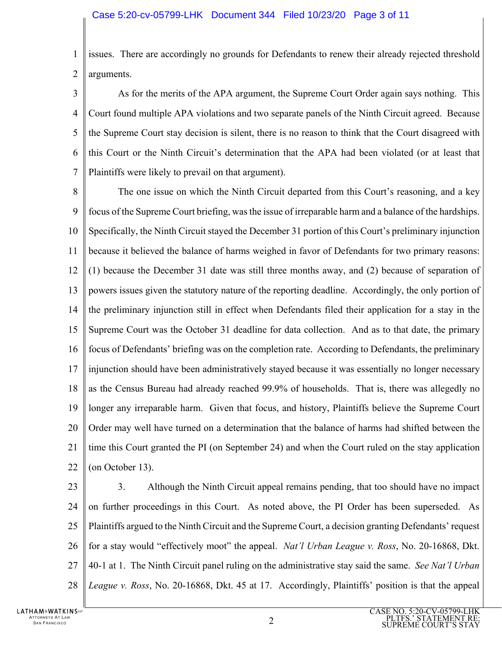1  $\mathfrak{D}$ issues. There are accordingly no grounds for Defendants to renew their already rejected threshold arguments.

3 4 5 6 7 As for the merits of the APA argument, the Supreme Court Order again says nothing. This Court found multiple APA violations and two separate panels of the Ninth Circuit agreed. Because the Supreme Court stay decision is silent, there is no reason to think that the Court disagreed with this Court or the Ninth Circuit's determination that the APA had been violated (or at least that Plaintiffs were likely to prevail on that argument).

8 9 10 11 12 13 14 15 16 17 18 19 20 21 22 The one issue on which the Ninth Circuit departed from this Court's reasoning, and a key focus of the Supreme Court briefing, was the issue of irreparable harm and a balance of the hardships. Specifically, the Ninth Circuit stayed the December 31 portion of this Court's preliminary injunction because it believed the balance of harms weighed in favor of Defendants for two primary reasons: (1) because the December 31 date was still three months away, and (2) because of separation of powers issues given the statutory nature of the reporting deadline. Accordingly, the only portion of the preliminary injunction still in effect when Defendants filed their application for a stay in the Supreme Court was the October 31 deadline for data collection. And as to that date, the primary focus of Defendants' briefing was on the completion rate. According to Defendants, the preliminary injunction should have been administratively stayed because it was essentially no longer necessary as the Census Bureau had already reached 99.9% of households. That is, there was allegedly no longer any irreparable harm. Given that focus, and history, Plaintiffs believe the Supreme Court Order may well have turned on a determination that the balance of harms had shifted between the time this Court granted the PI (on September 24) and when the Court ruled on the stay application (on October 13).

23 24 25 26 27 28 3. Although the Ninth Circuit appeal remains pending, that too should have no impact on further proceedings in this Court. As noted above, the PI Order has been superseded. As Plaintiffs argued to the Ninth Circuit and the Supreme Court, a decision granting Defendants' request for a stay would "effectively moot" the appeal. *Nat'l Urban League v. Ross*, No. 20-16868, Dkt. 40-1 at 1. The Ninth Circuit panel ruling on the administrative stay said the same. *See Nat'l Urban League v. Ross*, No. 20-16868, Dkt. 45 at 17. Accordingly, Plaintiffs' position is that the appeal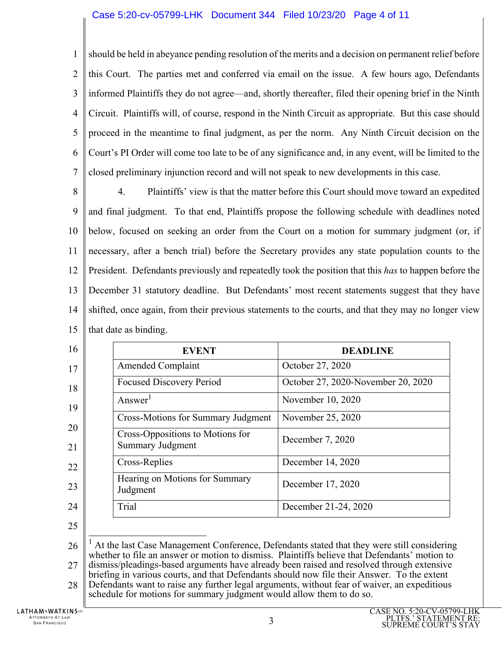## Case 5:20-cv-05799-LHK Document 344 Filed 10/23/20 Page 4 of 11

1  $\overline{2}$ 3 4 5 6 7 should be held in abeyance pending resolution of the merits and a decision on permanent relief before this Court. The parties met and conferred via email on the issue. A few hours ago, Defendants informed Plaintiffs they do not agree—and, shortly thereafter, filed their opening brief in the Ninth Circuit. Plaintiffs will, of course, respond in the Ninth Circuit as appropriate. But this case should proceed in the meantime to final judgment, as per the norm. Any Ninth Circuit decision on the Court's PI Order will come too late to be of any significance and, in any event, will be limited to the closed preliminary injunction record and will not speak to new developments in this case.

8 9 10 11 12 13 14 15 4. Plaintiffs' view is that the matter before this Court should move toward an expedited and final judgment. To that end, Plaintiffs propose the following schedule with deadlines noted below, focused on seeking an order from the Court on a motion for summary judgment (or, if necessary, after a bench trial) before the Secretary provides any state population counts to the President. Defendants previously and repeatedly took the position that this *has* to happen before the December 31 statutory deadline. But Defendants' most recent statements suggest that they have shifted, once again, from their previous statements to the courts, and that they may no longer view that date as binding.

| 16       | <b>EVENT</b>                                                                                                                                                                                | <b>DEADLINE</b>                    |  |
|----------|---------------------------------------------------------------------------------------------------------------------------------------------------------------------------------------------|------------------------------------|--|
| 17       | <b>Amended Complaint</b>                                                                                                                                                                    | October 27, 2020                   |  |
| 18       | <b>Focused Discovery Period</b>                                                                                                                                                             | October 27, 2020-November 20, 2020 |  |
| 19       | Answer <sup>1</sup>                                                                                                                                                                         | November 10, 2020                  |  |
|          | <b>Cross-Motions for Summary Judgment</b>                                                                                                                                                   | November 25, 2020                  |  |
| 20<br>21 | Cross-Oppositions to Motions for<br><b>Summary Judgment</b>                                                                                                                                 | December 7, 2020                   |  |
| 22       | Cross-Replies                                                                                                                                                                               | December 14, 2020                  |  |
| 23       | Hearing on Motions for Summary<br>Judgment                                                                                                                                                  | December 17, 2020                  |  |
| 24       | Trial                                                                                                                                                                                       | December 21-24, 2020               |  |
| 25       |                                                                                                                                                                                             |                                    |  |
| 26       | At the last Case Management Conference, Defendants stated that they were still considering<br>whether to file an answer or motion to dismiss. Plaintiffs believe that Defendants' motion to |                                    |  |
| 27       | dismiss/pleadings-based arguments have already been raised and resolved through extensive                                                                                                   |                                    |  |

28 briefing in various courts, and that Defendants should now file their Answer. To the extent Defendants want to raise any further legal arguments, without fear of waiver, an expeditious schedule for motions for summary judgment would allow them to do so.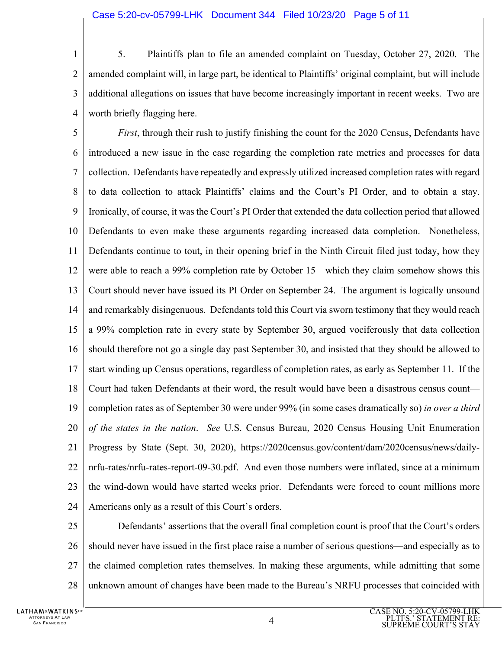1  $\mathfrak{D}$ 3 4 5. Plaintiffs plan to file an amended complaint on Tuesday, October 27, 2020. The amended complaint will, in large part, be identical to Plaintiffs' original complaint, but will include additional allegations on issues that have become increasingly important in recent weeks. Two are worth briefly flagging here.

5 6 7 8 9 10 11 12 13 14 15 16 17 18 19 20 21 22 23 24 *First*, through their rush to justify finishing the count for the 2020 Census, Defendants have introduced a new issue in the case regarding the completion rate metrics and processes for data collection. Defendants have repeatedly and expressly utilized increased completion rates with regard to data collection to attack Plaintiffs' claims and the Court's PI Order, and to obtain a stay. Ironically, of course, it was the Court's PI Order that extended the data collection period that allowed Defendants to even make these arguments regarding increased data completion. Nonetheless, Defendants continue to tout, in their opening brief in the Ninth Circuit filed just today, how they were able to reach a 99% completion rate by October 15—which they claim somehow shows this Court should never have issued its PI Order on September 24. The argument is logically unsound and remarkably disingenuous. Defendants told this Court via sworn testimony that they would reach a 99% completion rate in every state by September 30, argued vociferously that data collection should therefore not go a single day past September 30, and insisted that they should be allowed to start winding up Census operations, regardless of completion rates, as early as September 11. If the Court had taken Defendants at their word, the result would have been a disastrous census count completion rates as of September 30 were under 99% (in some cases dramatically so) *in over a third of the states in the nation*. *See* U.S. Census Bureau, 2020 Census Housing Unit Enumeration Progress by State (Sept. 30, 2020), https://2020census.gov/content/dam/2020census/news/dailynrfu-rates/nrfu-rates-report-09-30.pdf. And even those numbers were inflated, since at a minimum the wind-down would have started weeks prior. Defendants were forced to count millions more Americans only as a result of this Court's orders.

25 26 27 28 Defendants' assertions that the overall final completion count is proof that the Court's orders should never have issued in the first place raise a number of serious questions—and especially as to the claimed completion rates themselves. In making these arguments, while admitting that some unknown amount of changes have been made to the Bureau's NRFU processes that coincided with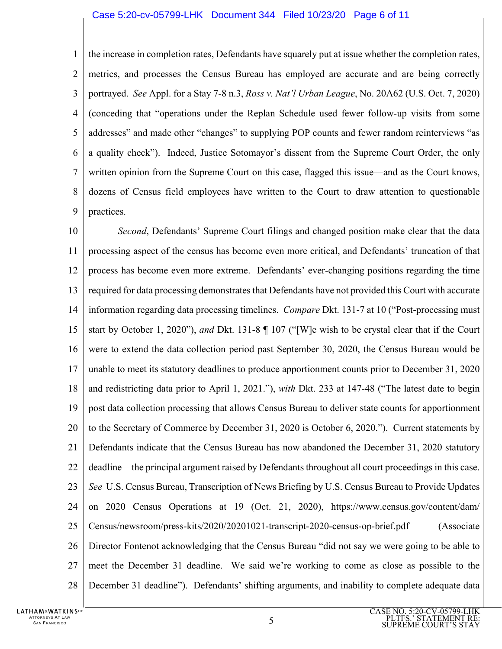## Case 5:20-cv-05799-LHK Document 344 Filed 10/23/20 Page 6 of 11

1  $\mathcal{D}_{\mathcal{L}}$ 3 4 5 6 7 8 9 the increase in completion rates, Defendants have squarely put at issue whether the completion rates, metrics, and processes the Census Bureau has employed are accurate and are being correctly portrayed. *See* Appl. for a Stay 7-8 n.3, *Ross v. Nat'l Urban League*, No. 20A62 (U.S. Oct. 7, 2020) (conceding that "operations under the Replan Schedule used fewer follow-up visits from some addresses" and made other "changes" to supplying POP counts and fewer random reinterviews "as a quality check"). Indeed, Justice Sotomayor's dissent from the Supreme Court Order, the only written opinion from the Supreme Court on this case, flagged this issue—and as the Court knows, dozens of Census field employees have written to the Court to draw attention to questionable practices.

10 11 12 13 14 15 16 17 18 19 20 21 22 23 24 25 26 27 28 *Second*, Defendants' Supreme Court filings and changed position make clear that the data processing aspect of the census has become even more critical, and Defendants' truncation of that process has become even more extreme. Defendants' ever-changing positions regarding the time required for data processing demonstrates that Defendants have not provided this Court with accurate information regarding data processing timelines. *Compare* Dkt. 131-7 at 10 ("Post-processing must start by October 1, 2020"), *and* Dkt. 131-8 ¶ 107 ("[W]e wish to be crystal clear that if the Court were to extend the data collection period past September 30, 2020, the Census Bureau would be unable to meet its statutory deadlines to produce apportionment counts prior to December 31, 2020 and redistricting data prior to April 1, 2021."), *with* Dkt. 233 at 147-48 ("The latest date to begin post data collection processing that allows Census Bureau to deliver state counts for apportionment to the Secretary of Commerce by December 31, 2020 is October 6, 2020."). Current statements by Defendants indicate that the Census Bureau has now abandoned the December 31, 2020 statutory deadline—the principal argument raised by Defendants throughout all court proceedings in this case. *See* U.S. Census Bureau, Transcription of News Briefing by U.S. Census Bureau to Provide Updates on 2020 Census Operations at 19 (Oct. 21, 2020), https://www.census.gov/content/dam/ Census/newsroom/press-kits/2020/20201021-transcript-2020-census-op-brief.pdf (Associate Director Fontenot acknowledging that the Census Bureau "did not say we were going to be able to meet the December 31 deadline. We said we're working to come as close as possible to the December 31 deadline"). Defendants' shifting arguments, and inability to complete adequate data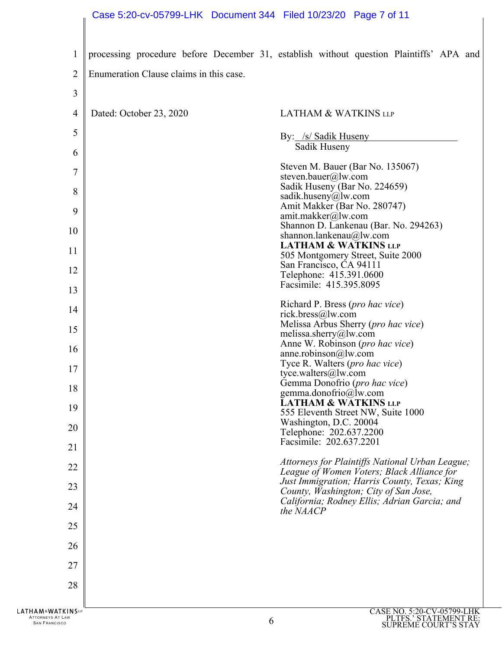| $\mathbf{1}$  |                                         | processing procedure before December 31, establish without question Plaintiffs' APA and       |
|---------------|-----------------------------------------|-----------------------------------------------------------------------------------------------|
| 2             | Enumeration Clause claims in this case. |                                                                                               |
| 3             |                                         |                                                                                               |
| 4             | Dated: October 23, 2020                 | <b>LATHAM &amp; WATKINS LLP</b>                                                               |
| 5             |                                         | By: /s/ Sadik Huseny                                                                          |
| 6             |                                         | Sadik Huseny                                                                                  |
| 7             |                                         | Steven M. Bauer (Bar No. 135067)<br>steven.bauer@lw.com                                       |
| 8             |                                         | Sadik Huseny (Bar No. 224659)<br>sadik.huseny@lw.com                                          |
| 9             |                                         | Amit Makker (Bar No. 280747)<br>amit.makker@lw.com                                            |
| 10            |                                         | Shannon D. Lankenau (Bar. No. 294263)<br>shannon.lankenau@lw.com                              |
| 11            |                                         | <b>LATHAM &amp; WATKINS LLP</b><br>505 Montgomery Street, Suite 2000                          |
| 12            |                                         | San Francisco, CA 94111<br>Telephone: 415.391.0600                                            |
| 13            |                                         | Facsimile: 415.395.8095                                                                       |
| 14            |                                         | Richard P. Bress (pro hac vice)<br>rick.bress@lw.com                                          |
| 15            |                                         | Melissa Arbus Sherry (pro hac vice)<br>melissa.sherry@lw.com                                  |
| 16            |                                         | Anne W. Robinson (pro hac vice)<br>anne.robinson $@$ lw.com                                   |
| 17            |                                         | Tyce R. Walters ( <i>pro hac vice</i> )<br>tyce.walters@lw.com                                |
| 18            |                                         | Gemma Donofrio (pro hac vice)<br>gemma.donofrio@lw.com                                        |
| 19            |                                         | LATHAM & WATKINS LLP<br>555 Eleventh Street NW, Suite 1000                                    |
| 20            |                                         | Washington, D.C. 20004<br>Telephone: 202.637.2200                                             |
| 21            |                                         | Facsimile: 202.637.2201                                                                       |
| 22            |                                         | Attorneys for Plaintiffs National Urban League;<br>League of Women Voters; Black Alliance for |
| 23            |                                         | Just Immigration; Harris County, Texas; King<br>County, Washington; City of San Jose,         |
| 24            |                                         | California; Rodney Ellis; Adrian Garcia; and<br>the NAACP                                     |
| 25            |                                         |                                                                                               |
| 26            |                                         |                                                                                               |
| 27            |                                         |                                                                                               |
| 28            |                                         |                                                                                               |
| <b>KINSUF</b> |                                         | CASE NO. 5:20-CV-05799-LHK                                                                    |

**LATHAM&WATH** ATTORNEYS AT LAW  $6 \overline{6}$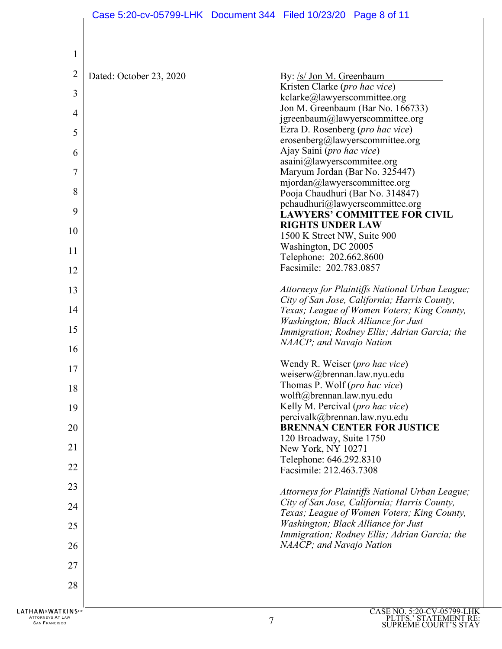| $\mathbf{1}$   |                         |                                                                        |
|----------------|-------------------------|------------------------------------------------------------------------|
| $\overline{c}$ | Dated: October 23, 2020 | By: /s/ Jon M. Greenbaum                                               |
|                |                         | Kristen Clarke (pro hac vice)                                          |
| 3              |                         | kclarke@lawyerscommittee.org                                           |
|                |                         | Jon M. Greenbaum (Bar No. 166733)                                      |
| 4              |                         | jgreenbaum@lawyerscommittee.org                                        |
| 5              |                         | Ezra D. Rosenberg (pro hac vice)                                       |
|                |                         | erosenberg@lawyerscommittee.org                                        |
| 6              |                         | Ajay Saini (pro hac vice)                                              |
|                |                         | asaini@lawyerscommitee.org                                             |
| $\overline{7}$ |                         | Maryum Jordan (Bar No. 325447)                                         |
|                |                         | mjordan@lawyerscommittee.org                                           |
| 8              |                         | Pooja Chaudhuri (Bar No. 314847)                                       |
| 9              |                         | pchaudhuri@lawyerscommittee.org<br><b>LAWYERS' COMMITTEE FOR CIVIL</b> |
|                |                         | <b>RIGHTS UNDER LAW</b>                                                |
| 10             |                         | 1500 K Street NW, Suite 900                                            |
|                |                         | Washington, DC 20005                                                   |
| 11             |                         | Telephone: 202.662.8600                                                |
| 12             |                         | Facsimile: 202.783.0857                                                |
|                |                         |                                                                        |
| 13             |                         | Attorneys for Plaintiffs National Urban League;                        |
|                |                         | City of San Jose, California; Harris County,                           |
| 14             |                         | Texas; League of Women Voters; King County,                            |
|                |                         | Washington; Black Alliance for Just                                    |
| 15             |                         | Immigration; Rodney Ellis; Adrian Garcia; the                          |
| 16             |                         | NAACP; and Navajo Nation                                               |
| 17             |                         | Wendy R. Weiser (pro hac vice)                                         |
|                |                         | weiserw@brennan.law.nyu.edu                                            |
| 18             |                         | Thomas P. Wolf (pro hac vice)                                          |
|                |                         | wolft@brennan.law.nyu.edu                                              |
| 19             |                         | Kelly M. Percival (pro hac vice)                                       |
|                |                         | percivalk@brennan.law.nyu.edu                                          |
| 20             |                         | <b>BRENNAN CENTER FOR JUSTICE</b>                                      |
| 21             |                         | 120 Broadway, Suite 1750                                               |
|                |                         | New York, NY 10271<br>Telephone: 646.292.8310                          |
| 22             |                         | Facsimile: 212.463.7308                                                |
|                |                         |                                                                        |
| 23             |                         | Attorneys for Plaintiffs National Urban League;                        |
| 24             |                         | City of San Jose, California; Harris County,                           |
|                |                         | Texas; League of Women Voters; King County,                            |
| 25             |                         | Washington; Black Alliance for Just                                    |
|                |                         | Immigration; Rodney Ellis; Adrian Garcia; the                          |
| 26             |                         | NAACP; and Navajo Nation                                               |
|                |                         |                                                                        |
| 27             |                         |                                                                        |
| 28             |                         |                                                                        |
|                |                         |                                                                        |
|                |                         |                                                                        |
| <b>KINSUF</b>  |                         | CASE NO. 5:20-CV-05799-LHK                                             |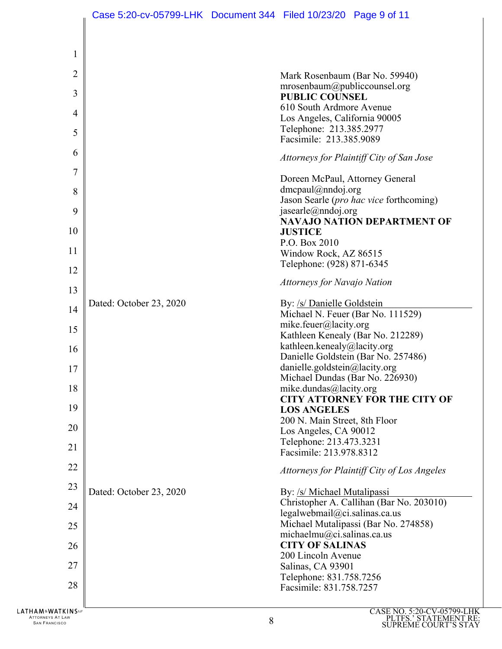| $\mathbf{1}$ |                         |                                                                    |
|--------------|-------------------------|--------------------------------------------------------------------|
| 2            |                         | Mark Rosenbaum (Bar No. 59940)                                     |
| 3            |                         | mrosenbaum@publiccounsel.org                                       |
|              |                         | <b>PUBLIC COUNSEL</b><br>610 South Ardmore Avenue                  |
| 4            |                         | Los Angeles, California 90005                                      |
| 5            |                         | Telephone: 213.385.2977                                            |
|              |                         | Facsimile: 213.385.9089                                            |
| 6            |                         | Attorneys for Plaintiff City of San Jose                           |
| 7            |                         | Doreen McPaul, Attorney General                                    |
| 8            |                         | $d$ mcpaul@nndoj.org                                               |
| 9            |                         | Jason Searle (pro hac vice forthcoming)<br>jasearle@nndoj.org      |
|              |                         | <b>NAVAJO NATION DEPARTMENT OF</b>                                 |
| 10           |                         | <b>JUSTICE</b>                                                     |
| 11           |                         | P.O. Box 2010                                                      |
|              |                         | Window Rock, AZ 86515<br>Telephone: (928) 871-6345                 |
| 12           |                         | Attorneys for Navajo Nation                                        |
| 13           |                         |                                                                    |
| 14           | Dated: October 23, 2020 | By: /s/ Danielle Goldstein                                         |
|              |                         | Michael N. Feuer (Bar No. 111529)<br>mike.feuer@lacity.org         |
| 15           |                         | Kathleen Kenealy (Bar No. 212289)                                  |
| 16           |                         | kathleen.kenealy@lacity.org                                        |
|              |                         | Danielle Goldstein (Bar No. 257486)                                |
| 17           |                         | danielle.goldstein@lacity.org                                      |
|              |                         | Michael Dundas (Bar No. 226930)                                    |
| 18           |                         | mike.dundas@lacity.org<br><b>CITY ATTORNEY FOR THE CITY OF</b>     |
| 19           |                         | <b>LOS ANGELES</b>                                                 |
|              |                         | 200 N. Main Street, 8th Floor                                      |
| 20           |                         | Los Angeles, CA 90012                                              |
| 21           |                         | Telephone: 213.473.3231<br>Facsimile: 213.978.8312                 |
|              |                         |                                                                    |
| 22           |                         | Attorneys for Plaintiff City of Los Angeles                        |
| 23           | Dated: October 23, 2020 | By: /s/ Michael Mutalipassi                                        |
| 24           |                         | Christopher A. Callihan (Bar No. 203010)                           |
|              |                         | legalwebmail@ci.salinas.ca.us                                      |
| 25           |                         | Michael Mutalipassi (Bar No. 274858)<br>michaelmu@ci.salinas.ca.us |
| 26           |                         | <b>CITY OF SALINAS</b>                                             |
|              |                         | 200 Lincoln Avenue                                                 |
| 27           |                         | Salinas, CA 93901                                                  |
| 28           |                         | Telephone: 831.758.7256                                            |
|              |                         | Facsimile: 831.758.7257                                            |
|              |                         |                                                                    |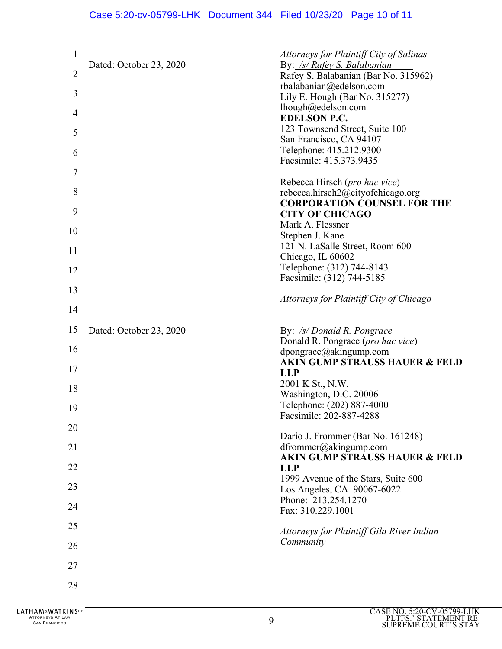|                                                                         | Case 5:20-cv-05799-LHK Document 344 Filed 10/23/20 Page 10 of 11 |   |                                                           |                                                                                 |
|-------------------------------------------------------------------------|------------------------------------------------------------------|---|-----------------------------------------------------------|---------------------------------------------------------------------------------|
|                                                                         |                                                                  |   |                                                           |                                                                                 |
| $\mathbf{1}$<br>$\overline{2}$                                          | Dated: October 23, 2020                                          |   | By: /s/ Rafey S. Balabanian                               | Attorneys for Plaintiff City of Salinas<br>Rafey S. Balabanian (Bar No. 315962) |
| 3                                                                       |                                                                  |   | rbalabanian@edelson.com                                   |                                                                                 |
|                                                                         |                                                                  |   | Lily E. Hough (Bar No. 315277)<br>lhough@edelson.com      |                                                                                 |
| $\overline{4}$                                                          |                                                                  |   | <b>EDELSON P.C.</b>                                       |                                                                                 |
| 5                                                                       |                                                                  |   | 123 Townsend Street, Suite 100<br>San Francisco, CA 94107 |                                                                                 |
| 6                                                                       |                                                                  |   | Telephone: 415.212.9300                                   |                                                                                 |
| 7                                                                       |                                                                  |   | Facsimile: 415.373.9435                                   |                                                                                 |
|                                                                         |                                                                  |   | Rebecca Hirsch (pro hac vice)                             |                                                                                 |
| 8                                                                       |                                                                  |   |                                                           | rebecca.hirsch2@cityofchicago.org<br><b>CORPORATION COUNSEL FOR THE</b>         |
| 9                                                                       |                                                                  |   | <b>CITY OF CHICAGO</b>                                    |                                                                                 |
| 10                                                                      |                                                                  |   | Mark A. Flessner<br>Stephen J. Kane                       |                                                                                 |
| 11                                                                      |                                                                  |   | 121 N. LaSalle Street, Room 600                           |                                                                                 |
|                                                                         |                                                                  |   | Chicago, IL 60602<br>Telephone: (312) 744-8143            |                                                                                 |
| 12                                                                      |                                                                  |   | Facsimile: (312) 744-5185                                 |                                                                                 |
| 13                                                                      |                                                                  |   |                                                           | Attorneys for Plaintiff City of Chicago                                         |
| 14                                                                      |                                                                  |   |                                                           |                                                                                 |
| 15                                                                      | Dated: October 23, 2020                                          |   | By: /s/ Donald R. Pongrace                                |                                                                                 |
| 16                                                                      |                                                                  |   |                                                           | Donald R. Pongrace (pro hac vice)                                               |
|                                                                         |                                                                  |   | dpongrace@akingump.com                                    | <b>AKIN GUMP STRAUSS HAUER &amp; FELD</b>                                       |
| 17                                                                      |                                                                  |   | <b>LLP</b>                                                |                                                                                 |
| 18                                                                      |                                                                  |   | 2001 K St., N.W.<br>Washington, D.C. 20006                |                                                                                 |
| 19                                                                      |                                                                  |   | Telephone: (202) 887-4000                                 |                                                                                 |
|                                                                         |                                                                  |   | Facsimile: 202-887-4288                                   |                                                                                 |
| 20                                                                      |                                                                  |   |                                                           | Dario J. Frommer (Bar No. 161248)                                               |
| 21                                                                      |                                                                  |   | dfrommer@akingump.com                                     | <b>AKIN GUMP STRAUSS HAUER &amp; FELD</b>                                       |
| 22                                                                      |                                                                  |   | <b>LLP</b>                                                |                                                                                 |
| 23                                                                      |                                                                  |   | Los Angeles, CA 90067-6022                                | 1999 Avenue of the Stars, Suite 600                                             |
| 24                                                                      |                                                                  |   | Phone: 213.254.1270                                       |                                                                                 |
|                                                                         |                                                                  |   | Fax: 310.229.1001                                         |                                                                                 |
| 25                                                                      |                                                                  |   |                                                           | Attorneys for Plaintiff Gila River Indian                                       |
| 26                                                                      |                                                                  |   | Community                                                 |                                                                                 |
| 27                                                                      |                                                                  |   |                                                           |                                                                                 |
| 28                                                                      |                                                                  |   |                                                           |                                                                                 |
|                                                                         |                                                                  |   |                                                           |                                                                                 |
| <b>LATHAM&amp;WATKINS</b> ℡<br>ATTORNEYS AT LAW<br><b>SAN FRANCISCO</b> |                                                                  | 9 |                                                           | CASE NO. 5:20-CV-05799-<br>PLTFS.' STATEMENT<br>CHIPREME COHRT'S ST             |